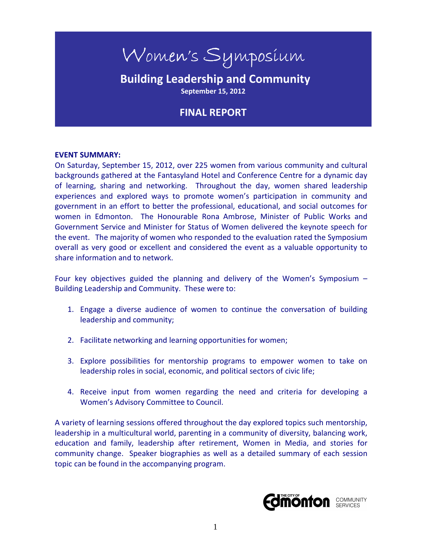# Women's Symposium

# **Building Leadership and Community September 15, 2012**

# **FINAL REPORT**

#### **EVENT SUMMARY:**

On Saturday, September 15, 2012, over 225 women from various community and cultural backgrounds gathered at the Fantasyland Hotel and Conference Centre for a dynamic day of learning, sharing and networking. Throughout the day, women shared leadership experiences and explored ways to promote women's participation in community and government in an effort to better the professional, educational, and social outcomes for women in Edmonton. The Honourable Rona Ambrose, Minister of Public Works and Government Service and Minister for Status of Women delivered the keynote speech for the event. The majority of women who responded to the evaluation rated the Symposium overall as very good or excellent and considered the event as a valuable opportunity to share information and to network.

Four key objectives guided the planning and delivery of the Women's Symposium – Building Leadership and Community. These were to:

- 1. Engage a diverse audience of women to continue the conversation of building leadership and community;
- 2. Facilitate networking and learning opportunities for women;
- 3. Explore possibilities for mentorship programs to empower women to take on leadership roles in social, economic, and political sectors of civic life;
- 4. Receive input from women regarding the need and criteria for developing a Women's Advisory Committee to Council.

A variety of learning sessions offered throughout the day explored topics such mentorship, leadership in a multicultural world, parenting in a community of diversity, balancing work, education and family, leadership after retirement, Women in Media, and stories for community change. Speaker biographies as well as a detailed summary of each session topic can be found in the accompanying program.

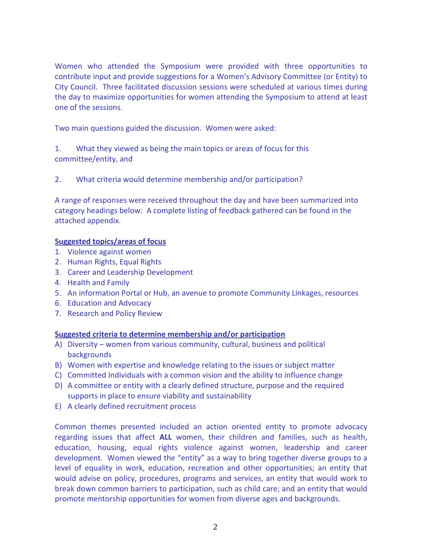Women who attended the Symposium were provided with three opportunities to contribute input and provide suggestions for a Women's Advisory Committee (or Entity) to City Council. Three facilitated discussion sessions were scheduled at various times during the day to maximize opportunities for women attending the Symposium to attend at least one of the sessions.

Two main questions guided the discussion. Women were asked:

1. What they viewed as being the main topics or areas of focus for this committee/entity, and

2. What criteria would determine membership and/or participation?

A range of responses were received throughout the day and have been summarized into category headings below: A complete listing of feedback gathered can be found in the attached appendix.

#### **Suggested topics/areas of focus**

- 1. Violence against women
- 2. Human Rights, Equal Rights
- 3. Career and Leadership Development
- 4. Health and Family
- 5. An information Portal or Hub, an avenue to promote Community Linkages, resources
- 6. Education and Advocacy
- 7. Research and Policy Review

#### **Suggested criteria to determine membership and/or participation**

- A) Diversity women from various community, cultural, business and political backgrounds
- B) Women with expertise and knowledge relating to the issues or subject matter
- C) Committed Individuals with a common vision and the ability to influence change
- D) A committee or entity with a clearly defined structure, purpose and the required supports in place to ensure viability and sustainability
- E) A clearly defined recruitment process

Common themes presented included an action oriented entity to promote advocacy regarding issues that affect **ALL** women, their children and families, such as health, education, housing, equal rights violence against women, leadership and career development. Women viewed the "entity" as a way to bring together diverse groups to a level of equality in work, education, recreation and other opportunities; an entity that would advise on policy, procedures, programs and services, an entity that would work to break down common barriers to participation, such as child care; and an entity that would promote mentorship opportunities for women from diverse ages and backgrounds.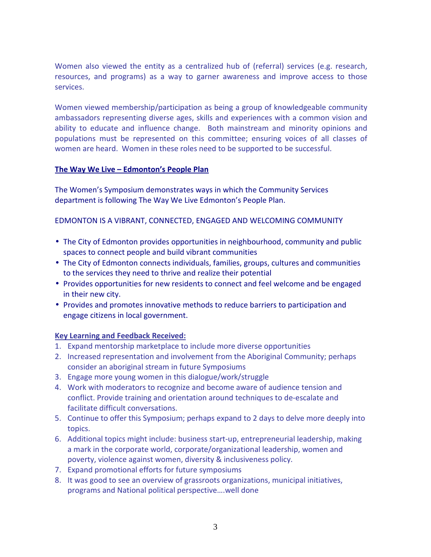Women also viewed the entity as a centralized hub of (referral) services (e.g. research, resources, and programs) as a way to garner awareness and improve access to those services.

Women viewed membership/participation as being a group of knowledgeable community ambassadors representing diverse ages, skills and experiences with a common vision and ability to educate and influence change. Both mainstream and minority opinions and populations must be represented on this committee; ensuring voices of all classes of women are heard. Women in these roles need to be supported to be successful.

#### **The Way We Live – Edmonton's People Plan**

The Women's Symposium demonstrates ways in which the Community Services department is following The Way We Live Edmonton's People Plan.

#### EDMONTON IS A VIBRANT, CONNECTED, ENGAGED AND WELCOMING COMMUNITY

- The City of Edmonton provides opportunities in neighbourhood, community and public spaces to connect people and build vibrant communities
- The City of Edmonton connects individuals, families, groups, cultures and communities to the services they need to thrive and realize their potential
- Provides opportunities for new residents to connect and feel welcome and be engaged in their new city.
- Provides and promotes innovative methods to reduce barriers to participation and engage citizens in local government.

#### **Key Learning and Feedback Received:**

- 1. Expand mentorship marketplace to include more diverse opportunities
- 2. Increased representation and involvement from the Aboriginal Community; perhaps consider an aboriginal stream in future Symposiums
- 3. Engage more young women in this dialogue/work/struggle
- 4. Work with moderators to recognize and become aware of audience tension and conflict. Provide training and orientation around techniques to de-escalate and facilitate difficult conversations.
- 5. Continue to offer this Symposium; perhaps expand to 2 days to delve more deeply into topics.
- 6. Additional topics might include: business start-up, entrepreneurial leadership, making a mark in the corporate world, corporate/organizational leadership, women and poverty, violence against women, diversity & inclusiveness policy.
- 7. Expand promotional efforts for future symposiums
- 8. It was good to see an overview of grassroots organizations, municipal initiatives, programs and National political perspective….well done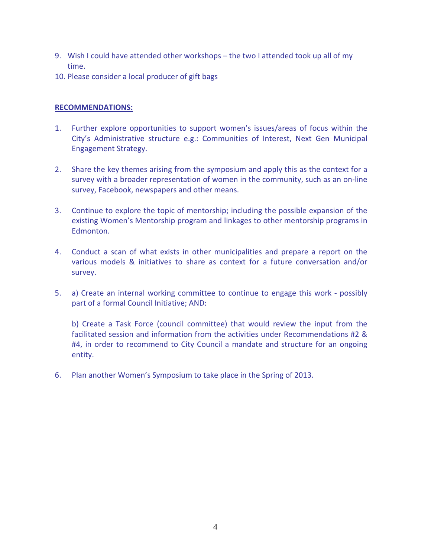- 9. Wish I could have attended other workshops the two I attended took up all of my time.
- 10. Please consider a local producer of gift bags

#### **RECOMMENDATIONS:**

- 1. Further explore opportunities to support women's issues/areas of focus within the City's Administrative structure e.g.: Communities of Interest, Next Gen Municipal Engagement Strategy.
- 2. Share the key themes arising from the symposium and apply this as the context for a survey with a broader representation of women in the community, such as an on-line survey, Facebook, newspapers and other means.
- 3. Continue to explore the topic of mentorship; including the possible expansion of the existing Women's Mentorship program and linkages to other mentorship programs in Edmonton.
- 4. Conduct a scan of what exists in other municipalities and prepare a report on the various models & initiatives to share as context for a future conversation and/or survey.
- 5. a) Create an internal working committee to continue to engage this work possibly part of a formal Council Initiative; AND:

b) Create a Task Force (council committee) that would review the input from the facilitated session and information from the activities under Recommendations #2 & #4, in order to recommend to City Council a mandate and structure for an ongoing entity.

6. Plan another Women's Symposium to take place in the Spring of 2013.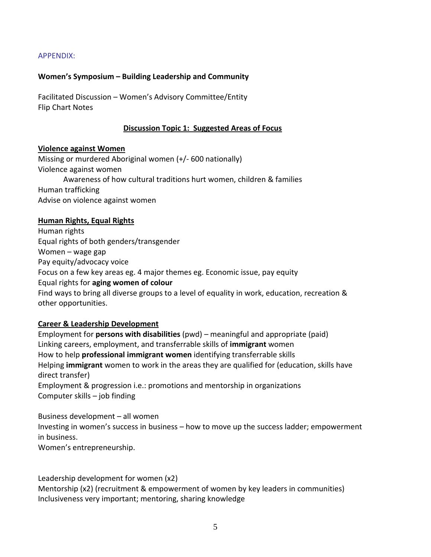APPENDIX:

#### **Women's Symposium – Building Leadership and Community**

Facilitated Discussion – Women's Advisory Committee/Entity Flip Chart Notes

#### **Discussion Topic 1: Suggested Areas of Focus**

#### **Violence against Women**

Missing or murdered Aboriginal women (+/- 600 nationally) Violence against women Awareness of how cultural traditions hurt women, children & families Human trafficking Advise on violence against women

#### **Human Rights, Equal Rights**

Human rights Equal rights of both genders/transgender Women – wage gap Pay equity/advocacy voice Focus on a few key areas eg. 4 major themes eg. Economic issue, pay equity Equal rights for **aging women of colour** Find ways to bring all diverse groups to a level of equality in work, education, recreation & other opportunities.

#### **Career & Leadership Development**

Employment for **persons with disabilities** (pwd) – meaningful and appropriate (paid) Linking careers, employment, and transferrable skills of **immigrant** women How to help **professional immigrant women** identifying transferrable skills Helping **immigrant** women to work in the areas they are qualified for (education, skills have direct transfer) Employment & progression i.e.: promotions and mentorship in organizations Computer skills – job finding

Business development – all women Investing in women's success in business – how to move up the success ladder; empowerment in business. Women's entrepreneurship.

Leadership development for women (x2)

Mentorship (x2) (recruitment & empowerment of women by key leaders in communities) Inclusiveness very important; mentoring, sharing knowledge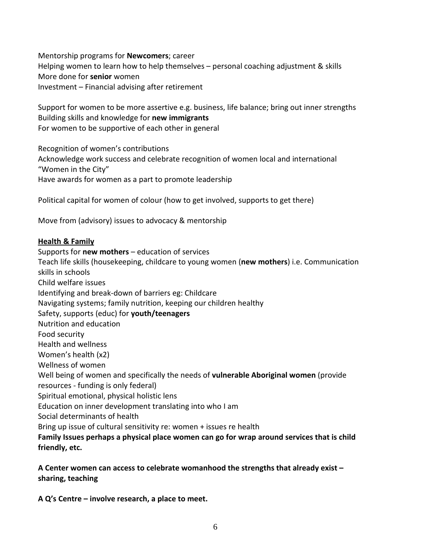Mentorship programs for **Newcomers**; career Helping women to learn how to help themselves – personal coaching adjustment & skills More done for **senior** women Investment – Financial advising after retirement

Support for women to be more assertive e.g. business, life balance; bring out inner strengths Building skills and knowledge for **new immigrants** For women to be supportive of each other in general

Recognition of women's contributions Acknowledge work success and celebrate recognition of women local and international "Women in the City" Have awards for women as a part to promote leadership

Political capital for women of colour (how to get involved, supports to get there)

Move from (advisory) issues to advocacy & mentorship

#### **Health & Family**

Supports for **new mothers** – education of services Teach life skills (housekeeping, childcare to young women (**new mothers**) i.e. Communication skills in schools Child welfare issues Identifying and break-down of barriers eg: Childcare Navigating systems; family nutrition, keeping our children healthy Safety, supports (educ) for **youth/teenagers** Nutrition and education Food security Health and wellness Women's health (x2) Wellness of women Well being of women and specifically the needs of **vulnerable Aboriginal women** (provide resources - funding is only federal) Spiritual emotional, physical holistic lens Education on inner development translating into who I am Social determinants of health Bring up issue of cultural sensitivity re: women + issues re health **Family Issues perhaps a physical place women can go for wrap around services that is child friendly, etc.** 

**A Center women can access to celebrate womanhood the strengths that already exist – sharing, teaching** 

**A Q's Centre – involve research, a place to meet.**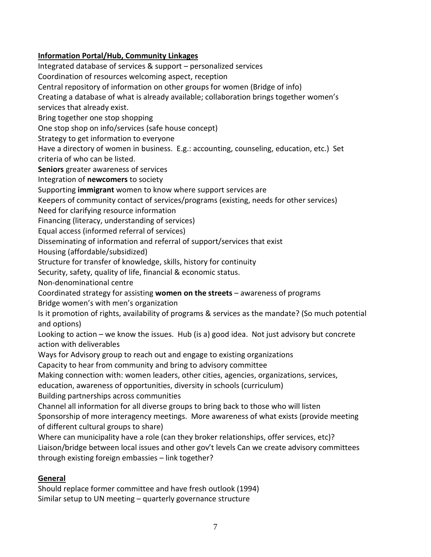# **Information Portal/Hub, Community Linkages**

Integrated database of services & support – personalized services Coordination of resources welcoming aspect, reception Central repository of information on other groups for women (Bridge of info) Creating a database of what is already available; collaboration brings together women's services that already exist. Bring together one stop shopping One stop shop on info/services (safe house concept) Strategy to get information to everyone Have a directory of women in business. E.g.: accounting, counseling, education, etc.) Set criteria of who can be listed. **Seniors** greater awareness of services Integration of **newcomers** to society Supporting **immigrant** women to know where support services are Keepers of community contact of services/programs (existing, needs for other services) Need for clarifying resource information Financing (literacy, understanding of services) Equal access (informed referral of services) Disseminating of information and referral of support/services that exist Housing (affordable/subsidized) Structure for transfer of knowledge, skills, history for continuity Security, safety, quality of life, financial & economic status. Non-denominational centre Coordinated strategy for assisting **women on the streets** – awareness of programs Bridge women's with men's organization Is it promotion of rights, availability of programs & services as the mandate? (So much potential and options) Looking to action – we know the issues. Hub (is a) good idea. Not just advisory but concrete action with deliverables Ways for Advisory group to reach out and engage to existing organizations Capacity to hear from community and bring to advisory committee Making connection with: women leaders, other cities, agencies, organizations, services, education, awareness of opportunities, diversity in schools (curriculum) Building partnerships across communities Channel all information for all diverse groups to bring back to those who will listen Sponsorship of more interagency meetings. More awareness of what exists (provide meeting of different cultural groups to share) Where can municipality have a role (can they broker relationships, offer services, etc)? Liaison/bridge between local issues and other gov't levels Can we create advisory committees through existing foreign embassies – link together?

# **General**

Should replace former committee and have fresh outlook (1994) Similar setup to UN meeting – quarterly governance structure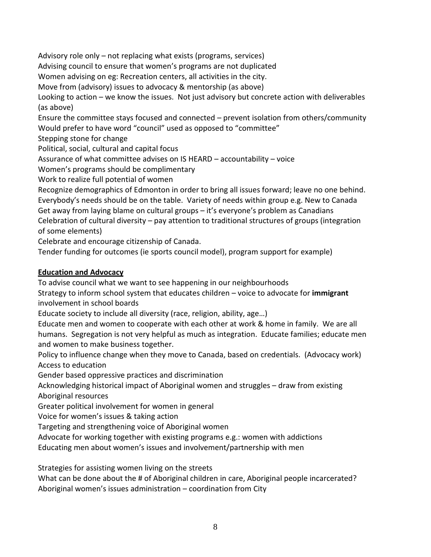Advisory role only – not replacing what exists (programs, services) Advising council to ensure that women's programs are not duplicated Women advising on eg: Recreation centers, all activities in the city. Move from (advisory) issues to advocacy & mentorship (as above) Looking to action – we know the issues. Not just advisory but concrete action with deliverables (as above) Ensure the committee stays focused and connected – prevent isolation from others/community Would prefer to have word "council" used as opposed to "committee" Stepping stone for change Political, social, cultural and capital focus Assurance of what committee advises on IS HEARD – accountability – voice Women's programs should be complimentary Work to realize full potential of women Recognize demographics of Edmonton in order to bring all issues forward; leave no one behind. Everybody's needs should be on the table. Variety of needs within group e.g. New to Canada Get away from laying blame on cultural groups – it's everyone's problem as Canadians Celebration of cultural diversity – pay attention to traditional structures of groups (integration of some elements) Celebrate and encourage citizenship of Canada. Tender funding for outcomes (ie sports council model), program support for example)

## **Education and Advocacy**

To advise council what we want to see happening in our neighbourhoods

Strategy to inform school system that educates children – voice to advocate for **immigrant**  involvement in school boards

Educate society to include all diversity (race, religion, ability, age…)

Educate men and women to cooperate with each other at work & home in family. We are all humans. Segregation is not very helpful as much as integration. Educate families; educate men and women to make business together.

Policy to influence change when they move to Canada, based on credentials. (Advocacy work) Access to education

Gender based oppressive practices and discrimination

Acknowledging historical impact of Aboriginal women and struggles – draw from existing Aboriginal resources

Greater political involvement for women in general

Voice for women's issues & taking action

Targeting and strengthening voice of Aboriginal women

Advocate for working together with existing programs e.g.: women with addictions

Educating men about women's issues and involvement/partnership with men

Strategies for assisting women living on the streets

What can be done about the # of Aboriginal children in care, Aboriginal people incarcerated? Aboriginal women's issues administration – coordination from City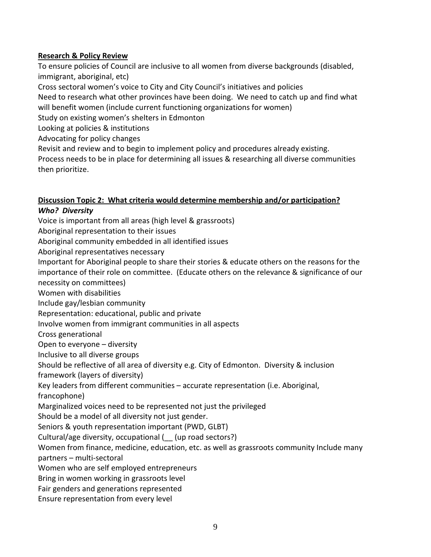## **Research & Policy Review**

To ensure policies of Council are inclusive to all women from diverse backgrounds (disabled, immigrant, aboriginal, etc)

Cross sectoral women's voice to City and City Council's initiatives and policies

Need to research what other provinces have been doing. We need to catch up and find what will benefit women (include current functioning organizations for women)

Study on existing women's shelters in Edmonton

Looking at policies & institutions

Advocating for policy changes

Revisit and review and to begin to implement policy and procedures already existing.

Process needs to be in place for determining all issues & researching all diverse communities then prioritize.

#### **Discussion Topic 2: What criteria would determine membership and/or participation?**  *Who? Diversity*

Voice is important from all areas (high level & grassroots)

Aboriginal representation to their issues

Aboriginal community embedded in all identified issues

Aboriginal representatives necessary

Important for Aboriginal people to share their stories & educate others on the reasons for the importance of their role on committee. (Educate others on the relevance & significance of our necessity on committees)

Women with disabilities

Include gay/lesbian community

Representation: educational, public and private

Involve women from immigrant communities in all aspects

Cross generational

Open to everyone – diversity

Inclusive to all diverse groups

Should be reflective of all area of diversity e.g. City of Edmonton. Diversity & inclusion

framework (layers of diversity)

Key leaders from different communities – accurate representation (i.e. Aboriginal,

francophone)

Marginalized voices need to be represented not just the privileged

Should be a model of all diversity not just gender.

Seniors & youth representation important (PWD, GLBT)

Cultural/age diversity, occupational (\_\_ (up road sectors?)

Women from finance, medicine, education, etc. as well as grassroots community Include many partners – multi-sectoral

Women who are self employed entrepreneurs

Bring in women working in grassroots level

Fair genders and generations represented

Ensure representation from every level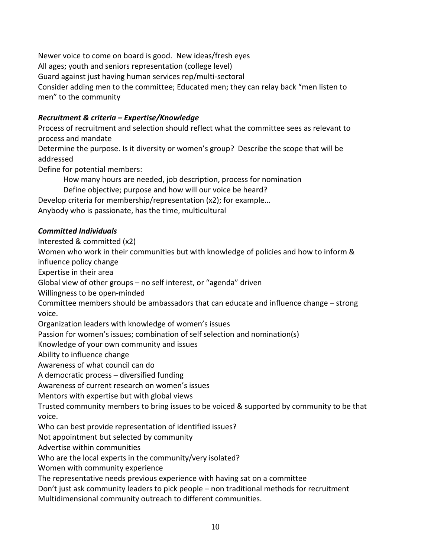Newer voice to come on board is good. New ideas/fresh eyes All ages; youth and seniors representation (college level) Guard against just having human services rep/multi-sectoral Consider adding men to the committee; Educated men; they can relay back "men listen to men" to the community

# *Recruitment & criteria – Expertise/Knowledge*

Process of recruitment and selection should reflect what the committee sees as relevant to process and mandate Determine the purpose. Is it diversity or women's group? Describe the scope that will be

addressed Define for potential members:

 How many hours are needed, job description, process for nomination Define objective; purpose and how will our voice be heard? Develop criteria for membership/representation (x2); for example… Anybody who is passionate, has the time, multicultural

### *Committed Individuals*

Interested & committed (x2)

Women who work in their communities but with knowledge of policies and how to inform & influence policy change

Expertise in their area

Global view of other groups – no self interest, or "agenda" driven

Willingness to be open-minded

Committee members should be ambassadors that can educate and influence change – strong voice.

Organization leaders with knowledge of women's issues

Passion for women's issues; combination of self selection and nomination(s)

Knowledge of your own community and issues

Ability to influence change

Awareness of what council can do

A democratic process – diversified funding

Awareness of current research on women's issues

Mentors with expertise but with global views

Trusted community members to bring issues to be voiced & supported by community to be that voice.

Who can best provide representation of identified issues?

Not appointment but selected by community

Advertise within communities

Who are the local experts in the community/very isolated?

Women with community experience

The representative needs previous experience with having sat on a committee

Don't just ask community leaders to pick people – non traditional methods for recruitment Multidimensional community outreach to different communities.